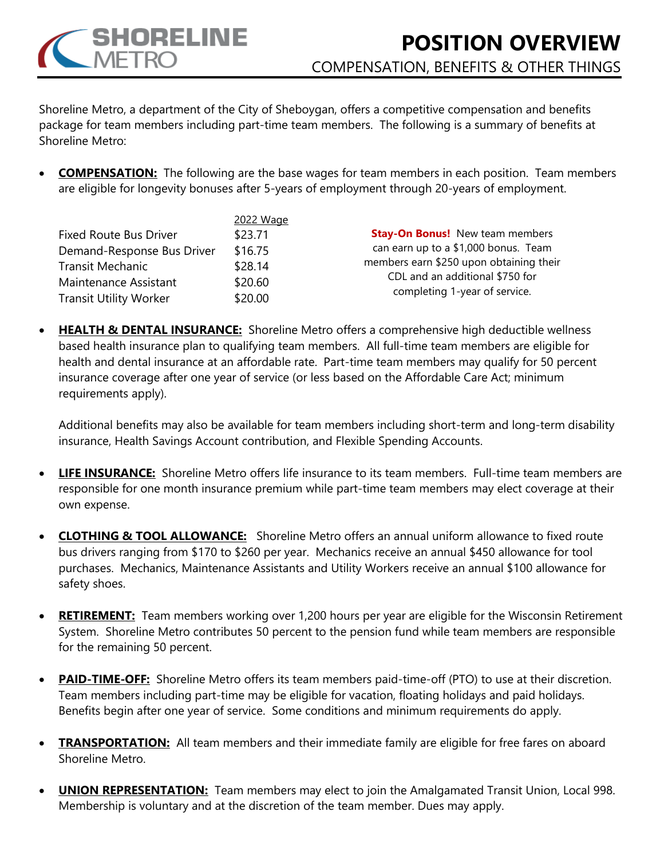

Shoreline Metro, a department of the City of Sheboygan, offers a competitive compensation and benefits package for team members including part-time team members. The following is a summary of benefits at Shoreline Metro:

• **COMPENSATION:** The following are the base wages for team members in each position. Team members are eligible for longevity bonuses after 5-years of employment through 20-years of employment.

|                               | 2022 Wage |                                                                                                                    |
|-------------------------------|-----------|--------------------------------------------------------------------------------------------------------------------|
| <b>Fixed Route Bus Driver</b> | \$23.71   | <b>Stay-On Bonus!</b> New team members                                                                             |
| Demand-Response Bus Driver    | \$16.75   | can earn up to a \$1,000 bonus. Team<br>members earn \$250 upon obtaining their<br>CDL and an additional \$750 for |
| <b>Transit Mechanic</b>       | \$28.14   |                                                                                                                    |
| Maintenance Assistant         | \$20.60   |                                                                                                                    |
| <b>Transit Utility Worker</b> | \$20.00   | completing 1-year of service.                                                                                      |

• **HEALTH & DENTAL INSURANCE:** Shoreline Metro offers a comprehensive high deductible wellness based health insurance plan to qualifying team members. All full-time team members are eligible for health and dental insurance at an affordable rate. Part-time team members may qualify for 50 percent insurance coverage after one year of service (or less based on the Affordable Care Act; minimum requirements apply).

Additional benefits may also be available for team members including short-term and long-term disability insurance, Health Savings Account contribution, and Flexible Spending Accounts.

- **LIFE INSURANCE:** Shoreline Metro offers life insurance to its team members. Full-time team members are responsible for one month insurance premium while part-time team members may elect coverage at their own expense.
- **CLOTHING & TOOL ALLOWANCE:** Shoreline Metro offers an annual uniform allowance to fixed route bus drivers ranging from \$170 to \$260 per year. Mechanics receive an annual \$450 allowance for tool purchases. Mechanics, Maintenance Assistants and Utility Workers receive an annual \$100 allowance for safety shoes.
- **RETIREMENT:** Team members working over 1,200 hours per year are eligible for the Wisconsin Retirement System. Shoreline Metro contributes 50 percent to the pension fund while team members are responsible for the remaining 50 percent.
- **PAID-TIME-OFF:** Shoreline Metro offers its team members paid-time-off (PTO) to use at their discretion. Team members including part-time may be eligible for vacation, floating holidays and paid holidays. Benefits begin after one year of service. Some conditions and minimum requirements do apply.
- **TRANSPORTATION:** All team members and their immediate family are eligible for free fares on aboard Shoreline Metro.
- **UNION REPRESENTATION:** Team members may elect to join the Amalgamated Transit Union, Local 998. Membership is voluntary and at the discretion of the team member. Dues may apply.